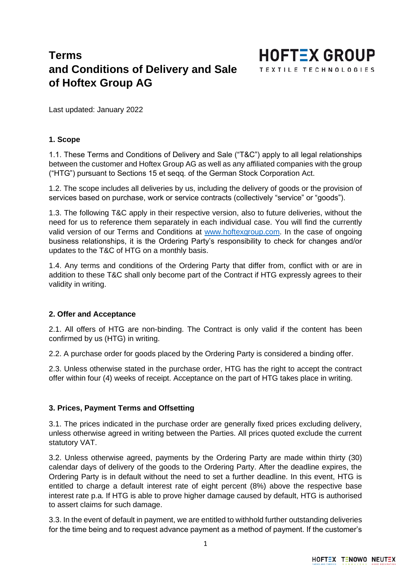# **Terms and Conditions of Delivery and Sale of Hoftex Group AG**



Last updated: January 2022

### **1. Scope**

1.1. These Terms and Conditions of Delivery and Sale ("T&C") apply to all legal relationships between the customer and Hoftex Group AG as well as any affiliated companies with the group ("HTG") pursuant to Sections 15 et seqq. of the German Stock Corporation Act.

1.2. The scope includes all deliveries by us, including the delivery of goods or the provision of services based on purchase, work or service contracts (collectively "service" or "goods").

1.3. The following T&C apply in their respective version, also to future deliveries, without the need for us to reference them separately in each individual case. You will find the currently valid version of our Terms and Conditions at [www.hoftexgroup.com.](http://www.hoftexgroup.com/) In the case of ongoing business relationships, it is the Ordering Party's responsibility to check for changes and/or updates to the T&C of HTG on a monthly basis.

1.4. Any terms and conditions of the Ordering Party that differ from, conflict with or are in addition to these T&C shall only become part of the Contract if HTG expressly agrees to their validity in writing.

### **2. Offer and Acceptance**

2.1. All offers of HTG are non-binding. The Contract is only valid if the content has been confirmed by us (HTG) in writing.

2.2. A purchase order for goods placed by the Ordering Party is considered a binding offer.

2.3. Unless otherwise stated in the purchase order, HTG has the right to accept the contract offer within four (4) weeks of receipt. Acceptance on the part of HTG takes place in writing.

### **3. Prices, Payment Terms and Offsetting**

3.1. The prices indicated in the purchase order are generally fixed prices excluding delivery, unless otherwise agreed in writing between the Parties. All prices quoted exclude the current statutory VAT.

3.2. Unless otherwise agreed, payments by the Ordering Party are made within thirty (30) calendar days of delivery of the goods to the Ordering Party. After the deadline expires, the Ordering Party is in default without the need to set a further deadline. In this event, HTG is entitled to charge a default interest rate of eight percent (8%) above the respective base interest rate p.a. If HTG is able to prove higher damage caused by default, HTG is authorised to assert claims for such damage.

3.3. In the event of default in payment, we are entitled to withhold further outstanding deliveries for the time being and to request advance payment as a method of payment. If the customer's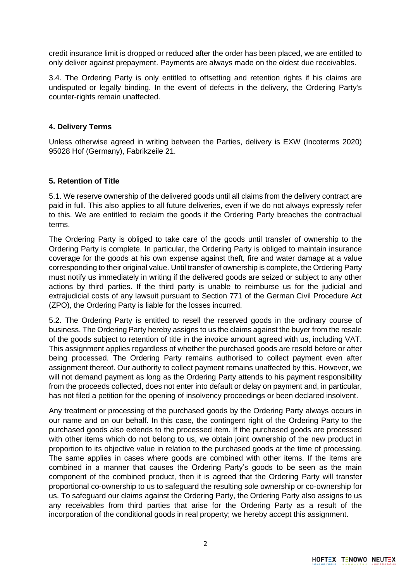credit insurance limit is dropped or reduced after the order has been placed, we are entitled to only deliver against prepayment. Payments are always made on the oldest due receivables.

3.4. The Ordering Party is only entitled to offsetting and retention rights if his claims are undisputed or legally binding. In the event of defects in the delivery, the Ordering Party's counter-rights remain unaffected.

## **4. Delivery Terms**

Unless otherwise agreed in writing between the Parties, delivery is EXW (Incoterms 2020) 95028 Hof (Germany), Fabrikzeile 21.

## **5. Retention of Title**

5.1. We reserve ownership of the delivered goods until all claims from the delivery contract are paid in full. This also applies to all future deliveries, even if we do not always expressly refer to this. We are entitled to reclaim the goods if the Ordering Party breaches the contractual terms.

The Ordering Party is obliged to take care of the goods until transfer of ownership to the Ordering Party is complete. In particular, the Ordering Party is obliged to maintain insurance coverage for the goods at his own expense against theft, fire and water damage at a value corresponding to their original value. Until transfer of ownership is complete, the Ordering Party must notify us immediately in writing if the delivered goods are seized or subject to any other actions by third parties. If the third party is unable to reimburse us for the judicial and extrajudicial costs of any lawsuit pursuant to Section 771 of the German Civil Procedure Act (ZPO), the Ordering Party is liable for the losses incurred.

5.2. The Ordering Party is entitled to resell the reserved goods in the ordinary course of business. The Ordering Party hereby assigns to us the claims against the buyer from the resale of the goods subject to retention of title in the invoice amount agreed with us, including VAT. This assignment applies regardless of whether the purchased goods are resold before or after being processed. The Ordering Party remains authorised to collect payment even after assignment thereof. Our authority to collect payment remains unaffected by this. However, we will not demand payment as long as the Ordering Party attends to his payment responsibility from the proceeds collected, does not enter into default or delay on payment and, in particular, has not filed a petition for the opening of insolvency proceedings or been declared insolvent.

Any treatment or processing of the purchased goods by the Ordering Party always occurs in our name and on our behalf. In this case, the contingent right of the Ordering Party to the purchased goods also extends to the processed item. If the purchased goods are processed with other items which do not belong to us, we obtain joint ownership of the new product in proportion to its objective value in relation to the purchased goods at the time of processing. The same applies in cases where goods are combined with other items. If the items are combined in a manner that causes the Ordering Party's goods to be seen as the main component of the combined product, then it is agreed that the Ordering Party will transfer proportional co-ownership to us to safeguard the resulting sole ownership or co-ownership for us. To safeguard our claims against the Ordering Party, the Ordering Party also assigns to us any receivables from third parties that arise for the Ordering Party as a result of the incorporation of the conditional goods in real property; we hereby accept this assignment.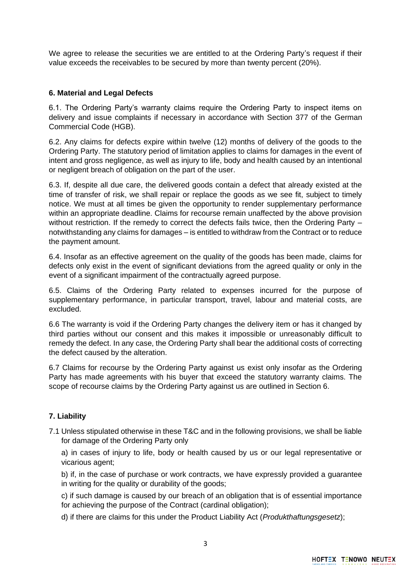We agree to release the securities we are entitled to at the Ordering Party's request if their value exceeds the receivables to be secured by more than twenty percent (20%).

# **6. Material and Legal Defects**

6.1. The Ordering Party's warranty claims require the Ordering Party to inspect items on delivery and issue complaints if necessary in accordance with Section 377 of the German Commercial Code (HGB).

6.2. Any claims for defects expire within twelve (12) months of delivery of the goods to the Ordering Party. The statutory period of limitation applies to claims for damages in the event of intent and gross negligence, as well as injury to life, body and health caused by an intentional or negligent breach of obligation on the part of the user.

6.3. If, despite all due care, the delivered goods contain a defect that already existed at the time of transfer of risk, we shall repair or replace the goods as we see fit, subject to timely notice. We must at all times be given the opportunity to render supplementary performance within an appropriate deadline. Claims for recourse remain unaffected by the above provision without restriction. If the remedy to correct the defects fails twice, then the Ordering Party – notwithstanding any claims for damages – is entitled to withdraw from the Contract or to reduce the payment amount.

6.4. Insofar as an effective agreement on the quality of the goods has been made, claims for defects only exist in the event of significant deviations from the agreed quality or only in the event of a significant impairment of the contractually agreed purpose.

6.5. Claims of the Ordering Party related to expenses incurred for the purpose of supplementary performance, in particular transport, travel, labour and material costs, are excluded.

6.6 The warranty is void if the Ordering Party changes the delivery item or has it changed by third parties without our consent and this makes it impossible or unreasonably difficult to remedy the defect. In any case, the Ordering Party shall bear the additional costs of correcting the defect caused by the alteration.

6.7 Claims for recourse by the Ordering Party against us exist only insofar as the Ordering Party has made agreements with his buyer that exceed the statutory warranty claims. The scope of recourse claims by the Ordering Party against us are outlined in Section 6.

# **7. Liability**

7.1 Unless stipulated otherwise in these T&C and in the following provisions, we shall be liable for damage of the Ordering Party only

a) in cases of injury to life, body or health caused by us or our legal representative or vicarious agent;

b) if, in the case of purchase or work contracts, we have expressly provided a guarantee in writing for the quality or durability of the goods;

c) if such damage is caused by our breach of an obligation that is of essential importance for achieving the purpose of the Contract (cardinal obligation);

d) if there are claims for this under the Product Liability Act (*Produkthaftungsgesetz*);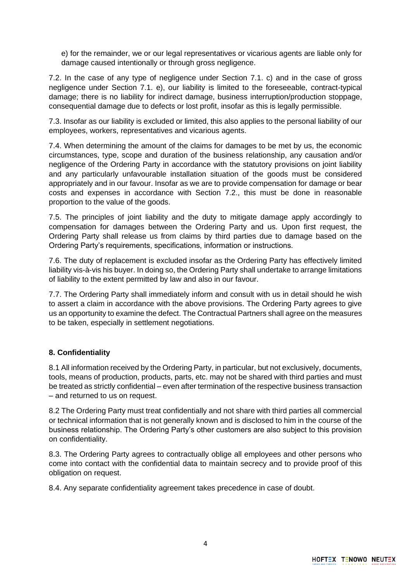e) for the remainder, we or our legal representatives or vicarious agents are liable only for damage caused intentionally or through gross negligence.

7.2. In the case of any type of negligence under Section 7.1. c) and in the case of gross negligence under Section 7.1. e), our liability is limited to the foreseeable, contract-typical damage; there is no liability for indirect damage, business interruption/production stoppage, consequential damage due to defects or lost profit, insofar as this is legally permissible.

7.3. Insofar as our liability is excluded or limited, this also applies to the personal liability of our employees, workers, representatives and vicarious agents.

7.4. When determining the amount of the claims for damages to be met by us, the economic circumstances, type, scope and duration of the business relationship, any causation and/or negligence of the Ordering Party in accordance with the statutory provisions on joint liability and any particularly unfavourable installation situation of the goods must be considered appropriately and in our favour. Insofar as we are to provide compensation for damage or bear costs and expenses in accordance with Section 7.2., this must be done in reasonable proportion to the value of the goods.

7.5. The principles of joint liability and the duty to mitigate damage apply accordingly to compensation for damages between the Ordering Party and us. Upon first request, the Ordering Party shall release us from claims by third parties due to damage based on the Ordering Party's requirements, specifications, information or instructions.

7.6. The duty of replacement is excluded insofar as the Ordering Party has effectively limited liability vis-à-vis his buyer. In doing so, the Ordering Party shall undertake to arrange limitations of liability to the extent permitted by law and also in our favour.

7.7. The Ordering Party shall immediately inform and consult with us in detail should he wish to assert a claim in accordance with the above provisions. The Ordering Party agrees to give us an opportunity to examine the defect. The Contractual Partners shall agree on the measures to be taken, especially in settlement negotiations.

# **8. Confidentiality**

8.1 All information received by the Ordering Party, in particular, but not exclusively, documents, tools, means of production, products, parts, etc. may not be shared with third parties and must be treated as strictly confidential – even after termination of the respective business transaction – and returned to us on request.

8.2 The Ordering Party must treat confidentially and not share with third parties all commercial or technical information that is not generally known and is disclosed to him in the course of the business relationship. The Ordering Party's other customers are also subject to this provision on confidentiality.

8.3. The Ordering Party agrees to contractually oblige all employees and other persons who come into contact with the confidential data to maintain secrecy and to provide proof of this obligation on request.

8.4. Any separate confidentiality agreement takes precedence in case of doubt.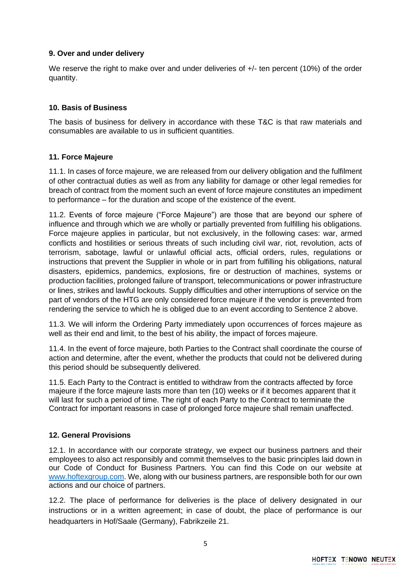# **9. Over and under delivery**

We reserve the right to make over and under deliveries of  $+/-$  ten percent (10%) of the order quantity.

## **10. Basis of Business**

The basis of business for delivery in accordance with these T&C is that raw materials and consumables are available to us in sufficient quantities.

### **11. Force Majeure**

11.1. In cases of force majeure, we are released from our delivery obligation and the fulfilment of other contractual duties as well as from any liability for damage or other legal remedies for breach of contract from the moment such an event of force majeure constitutes an impediment to performance – for the duration and scope of the existence of the event.

11.2. Events of force majeure ("Force Majeure") are those that are beyond our sphere of influence and through which we are wholly or partially prevented from fulfilling his obligations. Force majeure applies in particular, but not exclusively, in the following cases: war, armed conflicts and hostilities or serious threats of such including civil war, riot, revolution, acts of terrorism, sabotage, lawful or unlawful official acts, official orders, rules, regulations or instructions that prevent the Supplier in whole or in part from fulfilling his obligations, natural disasters, epidemics, pandemics, explosions, fire or destruction of machines, systems or production facilities, prolonged failure of transport, telecommunications or power infrastructure or lines, strikes and lawful lockouts. Supply difficulties and other interruptions of service on the part of vendors of the HTG are only considered force majeure if the vendor is prevented from rendering the service to which he is obliged due to an event according to Sentence 2 above.

11.3. We will inform the Ordering Party immediately upon occurrences of forces majeure as well as their end and limit, to the best of his ability, the impact of forces majeure.

11.4. In the event of force majeure, both Parties to the Contract shall coordinate the course of action and determine, after the event, whether the products that could not be delivered during this period should be subsequently delivered.

11.5. Each Party to the Contract is entitled to withdraw from the contracts affected by force majeure if the force majeure lasts more than ten (10) weeks or if it becomes apparent that it will last for such a period of time. The right of each Party to the Contract to terminate the Contract for important reasons in case of prolonged force majeure shall remain unaffected.

### **12. General Provisions**

12.1. In accordance with our corporate strategy, we expect our business partners and their employees to also act responsibly and commit themselves to the basic principles laid down in our Code of Conduct for Business Partners. You can find this Code on our website at [www.hoftexgroup.com.](http://www.hoftexgroup.com/) We, along with our business partners, are responsible both for our own actions and our choice of partners.

12.2. The place of performance for deliveries is the place of delivery designated in our instructions or in a written agreement; in case of doubt, the place of performance is our headquarters in Hof/Saale (Germany), Fabrikzeile 21.